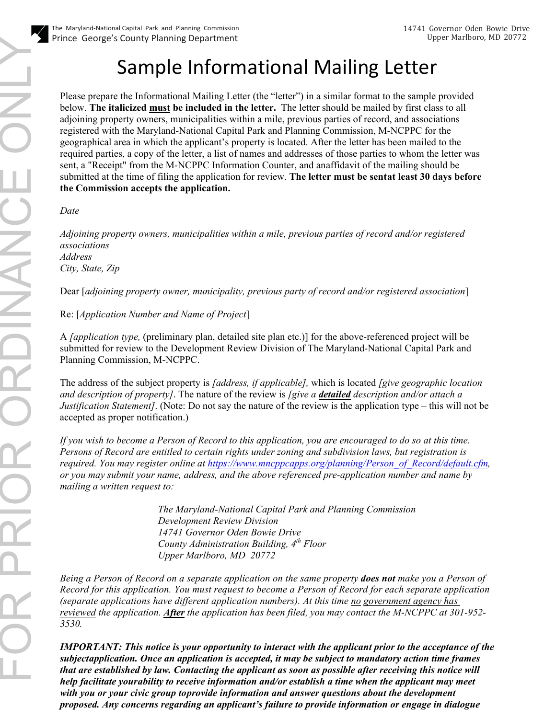## Sample Informational Mailing Letter

Please prepare the Informational Mailing Letter (the "letter") in a similar format to the sample provided below. **The italicized must be included in the letter.** The letter should be mailed by first class to all adjoining property owners, municipalities within a mile, previous parties of record, and associations registered with the Maryland-National Capital Park and Planning Commission, M-NCPPC for the geographical area in which the applicant's property is located. After the letter has been mailed to the required parties, a copy of the letter, a list of names and addresses of those parties to whom the letter was sent, a "Receipt" from the M-NCPPC Information Counter, and anaffidavit of the mailing should be submitted at the time of filing the application for review. **The letter must be sentat least 30 days before the Commission accepts the application.**

*Date*

*Adjoining property owners, municipalities within a mile, previous parties of record and/or registered associations Address City, State, Zip*

Dear [*adjoining property owner, municipality, previous party of record and/or registered association*]

Re: [*Application Number and Name of Project*]

A *[application type,* (preliminary plan, detailed site plan etc.)] for the above-referenced project will be submitted for review to the Development Review Division of The Maryland-National Capital Park and Planning Commission, M-NCPPC.

The address of the subject property is *[address, if applicable],* which is located *[give geographic location and description of property]*. The nature of the review is *[give a detailed description and/or attach a Justification Statement]*. (Note: Do not say the nature of the review is the application type – this will not be accepted as proper notification.)

*If you wish to become a Person of Record to this application, you are encouraged to do so at this time. Persons of Record are entitled to certain rights under zoning and subdivision laws, but registration is required. You may register online at [https://www.mncppcapps.org/planning/Person\\_of\\_Record/default.cfm,](https://www.mncppcapps.org/planning/Person_of_Record/default.cfm) or you may submit your name, address, and the above referenced pre-application number and name by mailing a written request to:*

> *The Maryland-National Capital Park and Planning Commission Development Review Division 14741 Governor Oden Bowie Drive County Administration Building, 4th Floor Upper Marlboro, MD 20772*

*Being a Person of Record on a separate application on the same property does not make you a Person of Record for this application. You must request to become a Person of Record for each separate application (separate applications have different application numbers). At this time no government agency has reviewed the application. After the application has been filed, you may contact the M-NCPPC at 301-952- 3530.*

*IMPORTANT: This notice is your opportunity to interact with the applicant prior to the acceptance of the subjectapplication. Once an application is accepted, it may be subject to mandatory action time frames that are established by law. Contacting the applicant as soon as possible after receiving this notice will help facilitate yourability to receive information and/or establish a time when the applicant may meet with you or your civic group toprovide information and answer questions about the development proposed. Any concerns regarding an applicant's failure to provide information or engage in dialogue*